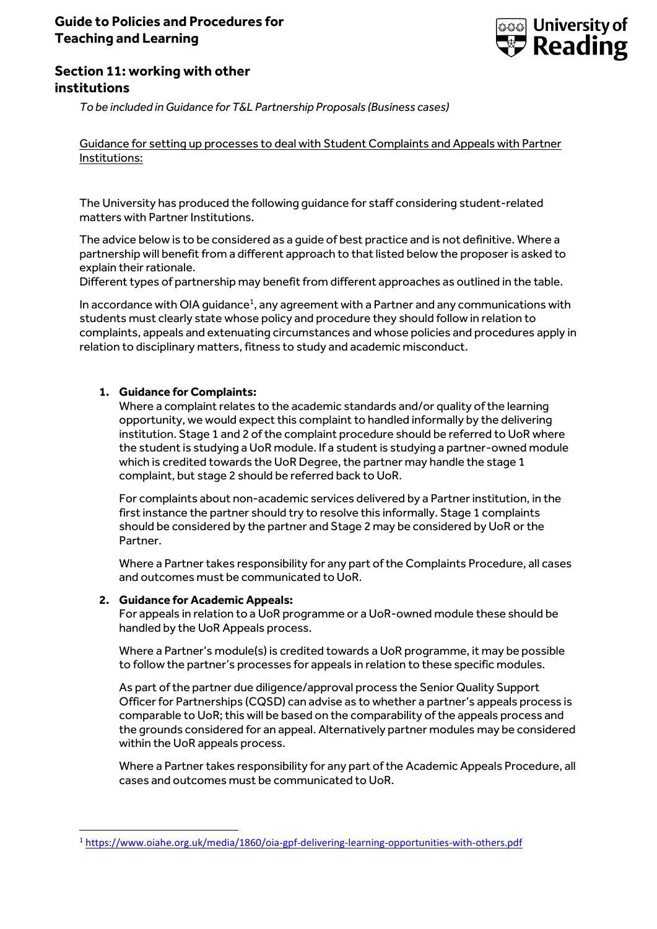# **Guide to Policies and Procedures for Teaching and Learning**



# **Section 11: working with other institutions**

*To be included in Guidance for T&L Partnership Proposals (Business cases)*

**Unitairmont commitment** Guidance for setting up processes to deal with Student Complaints and Appeals with Partner

The University has produced the following guidance for staff considering student-related matters with Partner Institutions.

The advice below is to be considered as a guide of best practice and is not definitive. Where a partnership will benefit from a different approach to that listed below the proposer is asked to explain their rationale.

Different types of partnership may benefit from different approaches as outlined in the table.

In accordance with OIA guidance<sup>1</sup>, any agreement with a Partner and any communications with students must clearly state whose policy and procedure they should follow in relation to complaints, appeals and extenuating circumstances and whose policies and procedures apply in relation to disciplinary matters, fitness to study and academic misconduct.

# **1. Guidance for Complaints:**

Where a complaint relates to the academic standards and/or quality of the learning opportunity, we would expect this complaint to handled informally by the delivering institution. Stage 1 and 2 of the complaint procedure should be referred to UoR where the student is studying a UoR module. If a student is studying a partner-owned module which is credited towards the UoR Degree, the partner may handle the stage 1 complaint, but stage 2 should be referred back to UoR.

For complaints about non-academic services delivered by a Partner institution, in the first instance the partner should try to resolve this informally. Stage 1 complaints should be considered by the partner and Stage 2 may be considered by UoR or the Partner.

Where a Partner takes responsibility for any part of the Complaints Procedure, all cases and outcomes must be communicated to UoR.

## **2. Guidance for Academic Appeals:**

**.** 

For appeals in relation to a UoR programme or a UoR-owned module these should be handled by the UoR Appeals process.

Where a Partner's module(s) is credited towards a UoR programme, it may be possible to follow the partner's processes for appeals in relation to these specific modules.

As part of the partner due diligence/approval process the Senior Quality Support Officer for Partnerships (CQSD) can advise as to whether a partner's appeals process is comparable to UoR; this will be based on the comparability of the appeals process and the grounds considered for an appeal. Alternatively partner modules may be considered within the UoR appeals process.

Where a Partner takes responsibility for any part of the Academic Appeals Procedure, all cases and outcomes must be communicated to UoR.

<sup>1</sup> <https://www.oiahe.org.uk/media/1860/oia-gpf-delivering-learning-opportunities-with-others.pdf>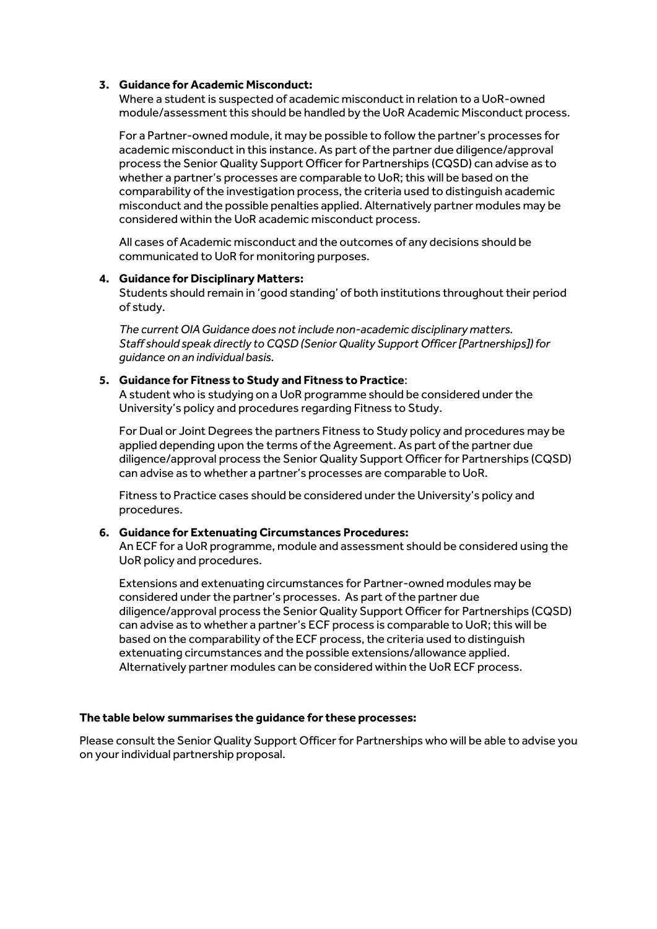# **3. Guidance for Academic Misconduct:**

Where a student is suspected of academic misconduct in relation to a UoR-owned module/assessment this should be handled by the UoR Academic Misconduct process.

For a Partner-owned module, it may be possible to follow the partner's processes for academic misconduct in this instance. As part of the partner due diligence/approval process the Senior Quality Support Officer for Partnerships (CQSD) can advise as to whether a partner's processes are comparable to UoR; this will be based on the comparability of the investigation process, the criteria used to distinguish academic misconduct and the possible penalties applied. Alternatively partner modules may be considered within the UoR academic misconduct process.

All cases of Academic misconduct and the outcomes of any decisions should be communicated to UoR for monitoring purposes.

## **4. Guidance for Disciplinary Matters:**

Students should remain in 'good standing' of both institutions throughout their period of study.

*The current OIA Guidance does not include non-academic disciplinary matters. Staff should speak directly to CQSD (Senior Quality Support Officer [Partnerships]) for guidance on an individual basis.*

#### **5. Guidance for Fitness to Study and Fitness to Practice**:

A student who is studying on a UoR programme should be considered under the University's policy and procedures regarding Fitness to Study.

For Dual or Joint Degrees the partners Fitness to Study policy and procedures may be applied depending upon the terms of the Agreement. As part of the partner due diligence/approval process the Senior Quality Support Officer for Partnerships (CQSD) can advise as to whether a partner's processes are comparable to UoR.

Fitness to Practice cases should be considered under the University's policy and procedures.

## **6. Guidance for Extenuating Circumstances Procedures:**

An ECF for a UoR programme, module and assessment should be considered using the UoR policy and procedures.

Extensions and extenuating circumstances for Partner-owned modules may be considered under the partner's processes. As part of the partner due diligence/approval process the Senior Quality Support Officer for Partnerships (CQSD) can advise as to whether a partner's ECF process is comparable to UoR; this will be based on the comparability of the ECF process, the criteria used to distinguish extenuating circumstances and the possible extensions/allowance applied. Alternatively partner modules can be considered within the UoR ECF process.

## **The table below summarises the guidance for these processes:**

Please consult the Senior Quality Support Officer for Partnerships who will be able to advise you on your individual partnership proposal.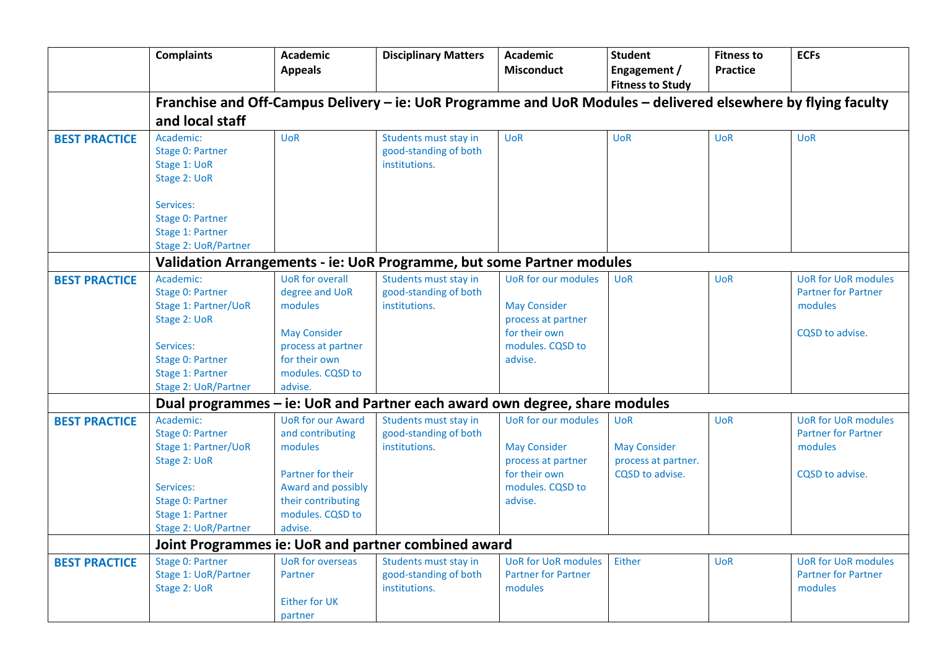|                      | <b>Complaints</b>                                                                                                                                         | <b>Academic</b><br><b>Appeals</b>                                                                                                                       | <b>Disciplinary Matters</b>                                                | <b>Academic</b><br><b>Misconduct</b>                                                                                    | <b>Student</b><br>Engagement /                                              | <b>Fitness to</b><br><b>Practice</b> | <b>ECFs</b>                                                                            |  |  |
|----------------------|-----------------------------------------------------------------------------------------------------------------------------------------------------------|---------------------------------------------------------------------------------------------------------------------------------------------------------|----------------------------------------------------------------------------|-------------------------------------------------------------------------------------------------------------------------|-----------------------------------------------------------------------------|--------------------------------------|----------------------------------------------------------------------------------------|--|--|
|                      | <b>Fitness to Study</b><br>Franchise and Off-Campus Delivery - ie: UoR Programme and UoR Modules - delivered elsewhere by flying faculty                  |                                                                                                                                                         |                                                                            |                                                                                                                         |                                                                             |                                      |                                                                                        |  |  |
|                      | and local staff                                                                                                                                           |                                                                                                                                                         |                                                                            |                                                                                                                         |                                                                             |                                      |                                                                                        |  |  |
| <b>BEST PRACTICE</b> | Academic:<br>Stage 0: Partner<br>Stage 1: UoR<br>Stage 2: UoR<br>Services:<br>Stage 0: Partner<br>Stage 1: Partner<br>Stage 2: UoR/Partner                | <b>UoR</b>                                                                                                                                              | Students must stay in<br>good-standing of both<br>institutions.            | <b>UoR</b>                                                                                                              | <b>UoR</b>                                                                  | <b>UoR</b>                           | <b>UoR</b>                                                                             |  |  |
|                      | Validation Arrangements - ie: UoR Programme, but some Partner modules                                                                                     |                                                                                                                                                         |                                                                            |                                                                                                                         |                                                                             |                                      |                                                                                        |  |  |
| <b>BEST PRACTICE</b> | Academic:<br>Stage 0: Partner<br><b>Stage 1: Partner/UoR</b><br>Stage 2: UoR<br>Services:<br>Stage 0: Partner<br>Stage 1: Partner<br>Stage 2: UoR/Partner | <b>UoR</b> for overall<br>degree and UoR<br>modules<br><b>May Consider</b><br>process at partner<br>for their own<br>modules. CQSD to<br>advise.        | Students must stay in<br>good-standing of both<br>institutions.            | <b>UoR</b> for our modules<br><b>May Consider</b><br>process at partner<br>for their own<br>modules. CQSD to<br>advise. | <b>UoR</b>                                                                  | <b>UoR</b>                           | <b>UoR for UoR modules</b><br><b>Partner for Partner</b><br>modules<br>CQSD to advise. |  |  |
|                      |                                                                                                                                                           |                                                                                                                                                         | Dual programmes - ie: UoR and Partner each award own degree, share modules |                                                                                                                         |                                                                             |                                      |                                                                                        |  |  |
| <b>BEST PRACTICE</b> | Academic:<br>Stage 0: Partner<br>Stage 1: Partner/UoR<br>Stage 2: UoR<br>Services:<br>Stage 0: Partner<br>Stage 1: Partner<br>Stage 2: UoR/Partner        | <b>UoR</b> for our Award<br>and contributing<br>modules<br>Partner for their<br>Award and possibly<br>their contributing<br>modules. CQSD to<br>advise. | Students must stay in<br>good-standing of both<br>institutions.            | <b>UoR</b> for our modules<br><b>May Consider</b><br>process at partner<br>for their own<br>modules. CQSD to<br>advise. | <b>UoR</b><br><b>May Consider</b><br>process at partner.<br>CQSD to advise. | <b>UoR</b>                           | <b>UoR for UoR modules</b><br><b>Partner for Partner</b><br>modules<br>CQSD to advise. |  |  |
|                      | Joint Programmes ie: UoR and partner combined award                                                                                                       |                                                                                                                                                         |                                                                            |                                                                                                                         |                                                                             |                                      |                                                                                        |  |  |
| <b>BEST PRACTICE</b> | Stage 0: Partner<br>Stage 1: UoR/Partner<br>Stage 2: UoR                                                                                                  | <b>UoR</b> for overseas<br>Partner<br>Either for UK<br>partner                                                                                          | Students must stay in<br>good-standing of both<br>institutions.            | <b>UoR for UoR modules</b><br><b>Partner for Partner</b><br>modules                                                     | Either                                                                      | <b>UoR</b>                           | <b>UoR for UoR modules</b><br><b>Partner for Partner</b><br>modules                    |  |  |